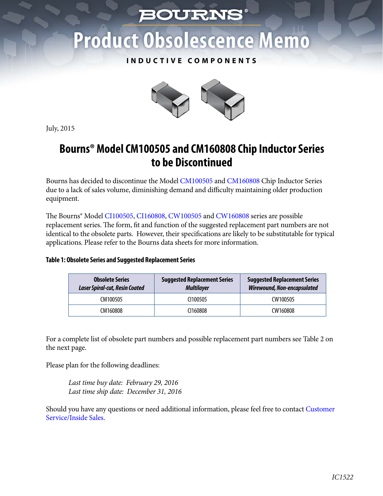# *BOURNS*

# **Product Obsolescence Memo**

### **INDUCTIVE COMPONENTS**



July, 2015

## **Bourns® Model CM100505 and CM160808 Chip Inductor Series to be Discontinued**

Bourns has decided to discontinue the Mode[l CM100505 and CM160808 Chip](http://www.bourns.com/docs/technical-documents/obsolete-parts/cm10_cm16_obsolete.pdf) Inductor Series due to a lack of sales volume, diminishing demand and difficulty maintaining older production equipment.

The Bourns® Mode[l CI100505,](http://www.bourns.com/data/global/pdfs/CI100505.pdf) [CI160808,](http://www.bourns.com/data/global/pdfs/CI160808.pdf) [CW100505 a](http://www.bourns.com/data/global/pdfs/CW100505.pdf)n[d CW160808 s](http://www.bourns.com/data/global/pdfs/cw160808.pdf)eries are possible replacement series. The form, fit and function of the suggested replacement part numbers are not identical to the obsolete parts. However, their specifications are likely to be substitutable for typical applications. Please refer to the Bourns data sheets for more information.

#### **Table 1: Obsolete Series and Suggested Replacement Series**

| <b>Obsolete Series</b><br><b>Laser Spiral-cut, Resin Coated</b> | <b>Suggested Replacement Series</b><br><b>Multilayer</b> | <b>Suggested Replacement Series</b><br><b>Wirewound, Non-encapsulated</b> |
|-----------------------------------------------------------------|----------------------------------------------------------|---------------------------------------------------------------------------|
| CM100505                                                        | CI100505                                                 | CW100505                                                                  |
| CM160808                                                        | C <sub>160808</sub>                                      | CW160808                                                                  |

For a complete list of obsolete part numbers and possible replacement part numbers see Table 2 on the next page.

Please plan for the following deadlines:

*Last time buy date: February 29, 2016 Last time ship date: December 31, 2016*

[Should you have any questions or need additional information, please feel free to contact Customer](http://www.bourns.com/Contact.aspx)  Service/Inside Sales.